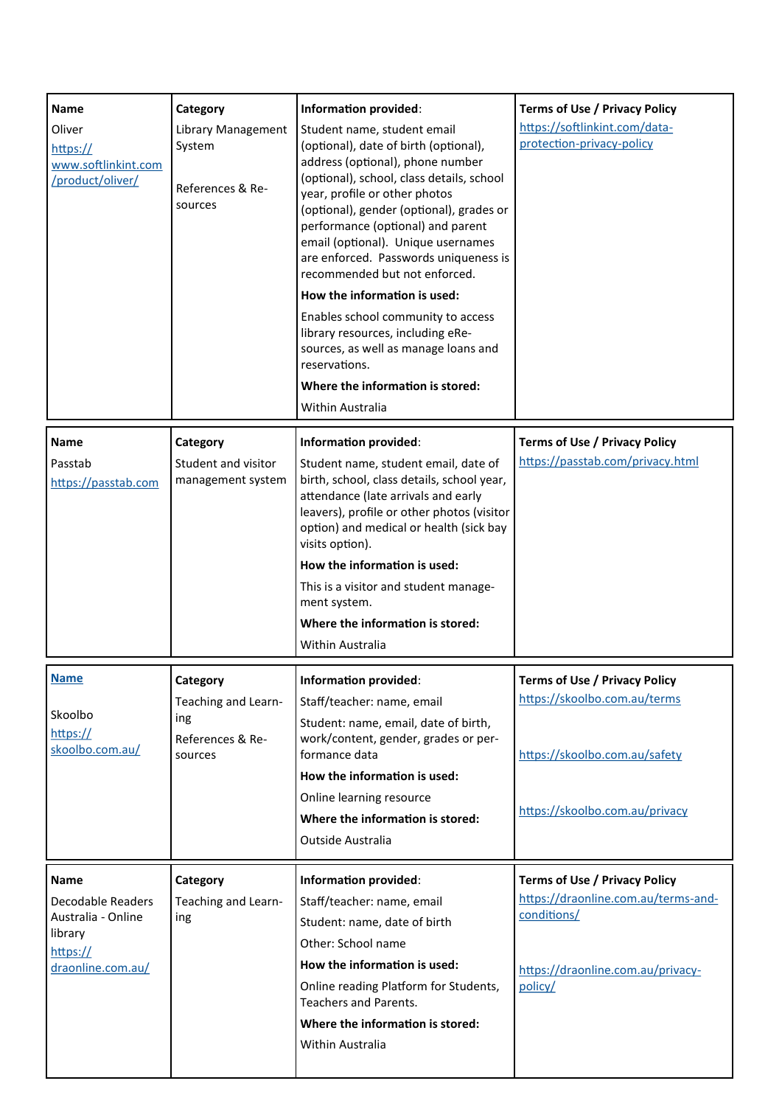| <b>Name</b><br>Oliver<br>https://<br>www.softlinkint.com<br>/product/oliver/                              | Category<br>Library Management<br>System<br>References & Re-<br>sources | Information provided:<br>Student name, student email<br>(optional), date of birth (optional),<br>address (optional), phone number<br>(optional), school, class details, school<br>year, profile or other photos<br>(optional), gender (optional), grades or<br>performance (optional) and parent<br>email (optional). Unique usernames<br>are enforced. Passwords uniqueness is<br>recommended but not enforced.<br>How the information is used:<br>Enables school community to access<br>library resources, including eRe-<br>sources, as well as manage loans and<br>reservations.<br>Where the information is stored:<br>Within Australia | <b>Terms of Use / Privacy Policy</b><br>https://softlinkint.com/data-<br>protection-privacy-policy                                         |
|-----------------------------------------------------------------------------------------------------------|-------------------------------------------------------------------------|----------------------------------------------------------------------------------------------------------------------------------------------------------------------------------------------------------------------------------------------------------------------------------------------------------------------------------------------------------------------------------------------------------------------------------------------------------------------------------------------------------------------------------------------------------------------------------------------------------------------------------------------|--------------------------------------------------------------------------------------------------------------------------------------------|
| Name<br>Passtab<br>https://passtab.com                                                                    | Category<br>Student and visitor<br>management system                    | Information provided:<br>Student name, student email, date of<br>birth, school, class details, school year,<br>attendance (late arrivals and early<br>leavers), profile or other photos (visitor<br>option) and medical or health (sick bay<br>visits option).<br>How the information is used:<br>This is a visitor and student manage-<br>ment system.<br>Where the information is stored:<br>Within Australia                                                                                                                                                                                                                              | <b>Terms of Use / Privacy Policy</b><br>https://passtab.com/privacy.html                                                                   |
| <b>Name</b><br>Skoolbo<br>https://<br>skoolbo.com.au/                                                     | Category<br>Teaching and Learn-<br>ing<br>References & Re-<br>sources   | Information provided:<br>Staff/teacher: name, email<br>Student: name, email, date of birth,<br>work/content, gender, grades or per-<br>formance data<br>How the information is used:<br>Online learning resource<br>Where the information is stored:<br>Outside Australia                                                                                                                                                                                                                                                                                                                                                                    | <b>Terms of Use / Privacy Policy</b><br>https://skoolbo.com.au/terms<br>https://skoolbo.com.au/safety<br>https://skoolbo.com.au/privacy    |
| <b>Name</b><br><b>Decodable Readers</b><br>Australia - Online<br>library<br>https://<br>draonline.com.au/ | Category<br>Teaching and Learn-<br>ing                                  | Information provided:<br>Staff/teacher: name, email<br>Student: name, date of birth<br>Other: School name<br>How the information is used:<br>Online reading Platform for Students,<br><b>Teachers and Parents.</b><br>Where the information is stored:<br>Within Australia                                                                                                                                                                                                                                                                                                                                                                   | <b>Terms of Use / Privacy Policy</b><br>https://draonline.com.au/terms-and-<br>conditions/<br>https://draonline.com.au/privacy-<br>policy/ |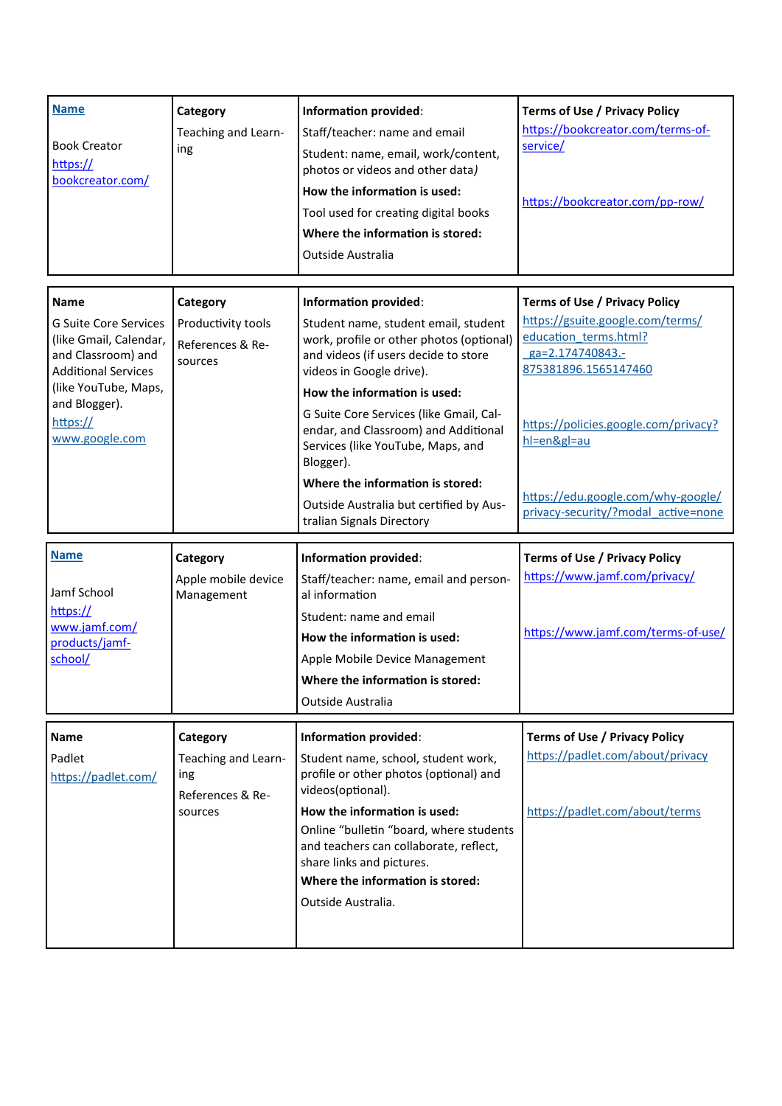| <b>Name</b><br><b>Book Creator</b><br>https://<br>bookcreator.com/                                                                                                                               | Category<br>Teaching and Learn-<br>ing                                | Information provided:<br>Staff/teacher: name and email<br>Student: name, email, work/content,<br>photos or videos and other data)<br>How the information is used:<br>Tool used for creating digital books<br>Where the information is stored:<br>Outside Australia                                                                                                                                                                                             | <b>Terms of Use / Privacy Policy</b><br>https://bookcreator.com/terms-of-<br>service/<br>https://bookcreator.com/pp-row/                                                                                                                                                        |
|--------------------------------------------------------------------------------------------------------------------------------------------------------------------------------------------------|-----------------------------------------------------------------------|----------------------------------------------------------------------------------------------------------------------------------------------------------------------------------------------------------------------------------------------------------------------------------------------------------------------------------------------------------------------------------------------------------------------------------------------------------------|---------------------------------------------------------------------------------------------------------------------------------------------------------------------------------------------------------------------------------------------------------------------------------|
| <b>Name</b><br><b>G Suite Core Services</b><br>(like Gmail, Calendar,<br>and Classroom) and<br><b>Additional Services</b><br>(like YouTube, Maps,<br>and Blogger).<br>https://<br>www.google.com | Category<br>Productivity tools<br>References & Re-<br>sources         | Information provided:<br>Student name, student email, student<br>work, profile or other photos (optional)<br>and videos (if users decide to store<br>videos in Google drive).<br>How the information is used:<br>G Suite Core Services (like Gmail, Cal-<br>endar, and Classroom) and Additional<br>Services (like YouTube, Maps, and<br>Blogger).<br>Where the information is stored:<br>Outside Australia but certified by Aus-<br>tralian Signals Directory | <b>Terms of Use / Privacy Policy</b><br>https://gsuite.google.com/terms/<br>education terms.html?<br>ga=2.174740843.-<br>875381896.1565147460<br>https://policies.google.com/privacy?<br>hl=en≷=au<br>https://edu.google.com/why-google/<br>privacy-security/?modal active=none |
| <b>Name</b><br>Jamf School<br>https://<br>www.jamf.com/<br>products/jamf-<br>school/                                                                                                             | Category<br>Apple mobile device<br>Management                         | Information provided:<br>Staff/teacher: name, email and person-<br>al information<br>Student: name and email<br>How the information is used:<br>Apple Mobile Device Management<br>Where the information is stored:<br><b>Outside Australia</b>                                                                                                                                                                                                                 | <b>Terms of Use / Privacy Policy</b><br>https://www.jamf.com/privacy/<br>https://www.jamf.com/terms-of-use/                                                                                                                                                                     |
| <b>Name</b><br>Padlet<br>https://padlet.com/                                                                                                                                                     | Category<br>Teaching and Learn-<br>ing<br>References & Re-<br>sources | Information provided:<br>Student name, school, student work,<br>profile or other photos (optional) and<br>videos(optional).<br>How the information is used:<br>Online "bulletin "board, where students<br>and teachers can collaborate, reflect,<br>share links and pictures.<br>Where the information is stored:<br>Outside Australia.                                                                                                                        | <b>Terms of Use / Privacy Policy</b><br>https://padlet.com/about/privacy<br>https://padlet.com/about/terms                                                                                                                                                                      |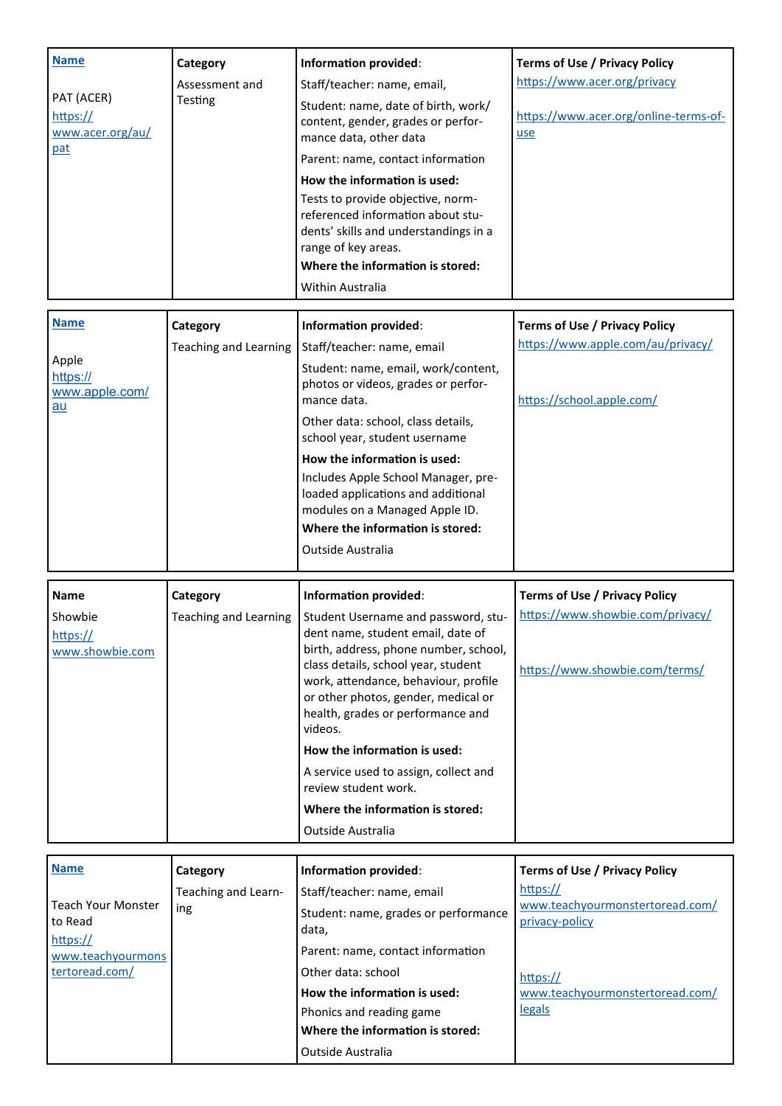| <b>Name</b>                   | Category                     | Information provided:                                                      | <b>Terms of Use / Privacy Policy</b>         |
|-------------------------------|------------------------------|----------------------------------------------------------------------------|----------------------------------------------|
|                               | Assessment and               | Staff/teacher: name, email,                                                | https://www.acer.org/privacy                 |
| PAT (ACER)<br>https://        | Testing                      | Student: name, date of birth, work/                                        |                                              |
| www.acer.org/au/              |                              | content, gender, grades or perfor-                                         | https://www.acer.org/online-terms-of-<br>use |
| pat                           |                              | mance data, other data                                                     |                                              |
|                               |                              | Parent: name, contact information                                          |                                              |
|                               |                              | How the information is used:                                               |                                              |
|                               |                              | Tests to provide objective, norm-                                          |                                              |
|                               |                              | referenced information about stu-<br>dents' skills and understandings in a |                                              |
|                               |                              | range of key areas.                                                        |                                              |
|                               |                              | Where the information is stored:                                           |                                              |
|                               |                              | Within Australia                                                           |                                              |
|                               |                              |                                                                            |                                              |
| <b>Name</b>                   | Category                     | Information provided:                                                      | <b>Terms of Use / Privacy Policy</b>         |
|                               | <b>Teaching and Learning</b> | Staff/teacher: name, email                                                 | https://www.apple.com/au/privacy/            |
| Apple                         |                              | Student: name, email, work/content,                                        |                                              |
| https://<br>www.apple.com/    |                              | photos or videos, grades or perfor-                                        |                                              |
| $au$                          |                              | mance data.                                                                | https://school.apple.com/                    |
|                               |                              | Other data: school, class details,                                         |                                              |
|                               |                              | school year, student username                                              |                                              |
|                               |                              | How the information is used:                                               |                                              |
|                               |                              | Includes Apple School Manager, pre-                                        |                                              |
|                               |                              | loaded applications and additional<br>modules on a Managed Apple ID.       |                                              |
|                               |                              | Where the information is stored:                                           |                                              |
|                               |                              | Outside Australia                                                          |                                              |
|                               |                              |                                                                            |                                              |
|                               |                              |                                                                            |                                              |
| <b>Name</b>                   | Category                     | Information provided:                                                      | <b>Terms of Use / Privacy Policy</b>         |
| Showbie                       | <b>Teaching and Learning</b> | Student Username and password, stu-<br>dent name, student email, date of   | https://www.showbie.com/privacy/             |
| https://<br>www.showbie.com   |                              | birth, address, phone number, school,                                      |                                              |
|                               |                              | class details, school year, student                                        | https://www.showbie.com/terms/               |
|                               |                              | work, attendance, behaviour, profile                                       |                                              |
|                               |                              | or other photos, gender, medical or<br>health, grades or performance and   |                                              |
|                               |                              | videos.                                                                    |                                              |
|                               |                              | How the information is used:                                               |                                              |
|                               |                              | A service used to assign, collect and                                      |                                              |
|                               |                              | review student work.                                                       |                                              |
|                               |                              | Where the information is stored:                                           |                                              |
|                               |                              | Outside Australia                                                          |                                              |
|                               |                              |                                                                            |                                              |
| <b>Name</b>                   | Category                     | Information provided:                                                      | <b>Terms of Use / Privacy Policy</b>         |
|                               | Teaching and Learn-          | Staff/teacher: name, email                                                 | https://                                     |
| <b>Teach Your Monster</b>     | ing                          | Student: name, grades or performance                                       | www.teachyourmonstertoread.com/              |
| to Read                       |                              | data,                                                                      | privacy-policy                               |
| https://<br>www.teachyourmons |                              | Parent: name, contact information                                          |                                              |
| tertoread.com/                |                              | Other data: school                                                         |                                              |
|                               |                              | How the information is used:                                               | https://<br>www.teachyourmonstertoread.com/  |
|                               |                              | Phonics and reading game                                                   | <u>legals</u>                                |
|                               |                              |                                                                            |                                              |
|                               |                              | Where the information is stored:                                           |                                              |
|                               |                              | Outside Australia                                                          |                                              |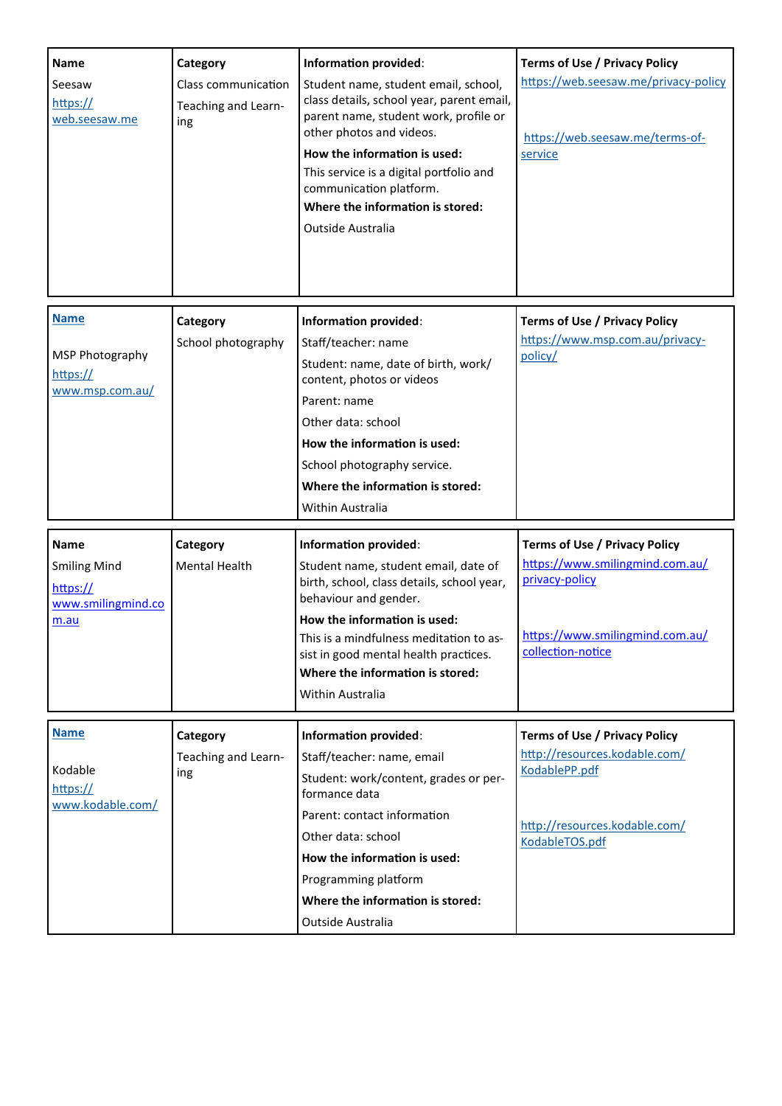| <b>Name</b><br>Seesaw<br>https://<br>web.seesaw.me                           | Category<br>Class communication<br>Teaching and Learn-<br>ing | Information provided:<br>Student name, student email, school,<br>class details, school year, parent email,<br>parent name, student work, profile or<br>other photos and videos.<br>How the information is used:<br>This service is a digital portfolio and<br>communication platform.<br>Where the information is stored:<br>Outside Australia | <b>Terms of Use / Privacy Policy</b><br>https://web.seesaw.me/privacy-policy<br>https://web.seesaw.me/terms-of-<br>service                        |
|------------------------------------------------------------------------------|---------------------------------------------------------------|------------------------------------------------------------------------------------------------------------------------------------------------------------------------------------------------------------------------------------------------------------------------------------------------------------------------------------------------|---------------------------------------------------------------------------------------------------------------------------------------------------|
| <b>Name</b><br>MSP Photography<br>https://<br>www.msp.com.au/                | Category<br>School photography                                | <b>Information provided:</b><br>Staff/teacher: name<br>Student: name, date of birth, work/<br>content, photos or videos<br>Parent: name<br>Other data: school<br>How the information is used:<br>School photography service.<br>Where the information is stored:<br>Within Australia                                                           | <b>Terms of Use / Privacy Policy</b><br>https://www.msp.com.au/privacy-<br>policy/                                                                |
| <b>Name</b><br><b>Smiling Mind</b><br>https://<br>www.smilingmind.co<br>m.au | Category<br><b>Mental Health</b>                              | Information provided:<br>Student name, student email, date of<br>birth, school, class details, school year,<br>behaviour and gender.<br>How the information is used:<br>This is a mindfulness meditation to as-<br>sist in good mental health practices.<br>Where the information is stored:<br><b>Within Australia</b>                        | <b>Terms of Use / Privacy Policy</b><br>https://www.smilingmind.com.au/<br>privacy-policy<br>https://www.smilingmind.com.au/<br>collection-notice |
| <b>Name</b><br>Kodable<br>https://<br>www.kodable.com/                       | Category<br>Teaching and Learn-<br>ing                        | Information provided:<br>Staff/teacher: name, email<br>Student: work/content, grades or per-<br>formance data<br>Parent: contact information<br>Other data: school<br>How the information is used:<br>Programming platform<br>Where the information is stored:<br>Outside Australia                                                            | <b>Terms of Use / Privacy Policy</b><br>http://resources.kodable.com/<br>KodablePP.pdf<br>http://resources.kodable.com/<br>KodableTOS.pdf         |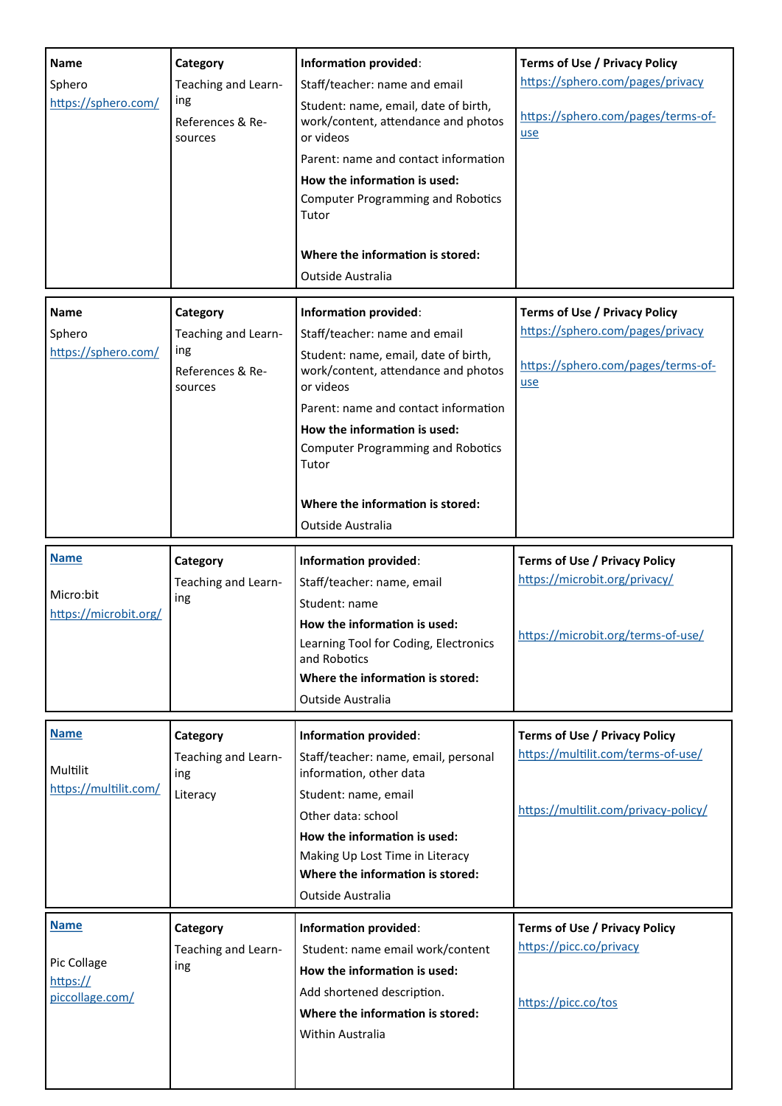| <b>Name</b><br>Sphero<br>https://sphero.com/              | Category<br>Teaching and Learn-<br>ing<br>References & Re-<br>sources | Information provided:<br>Staff/teacher: name and email<br>Student: name, email, date of birth,<br>work/content, attendance and photos<br>or videos<br>Parent: name and contact information<br>How the information is used:<br><b>Computer Programming and Robotics</b><br>Tutor<br>Where the information is stored: | <b>Terms of Use / Privacy Policy</b><br>https://sphero.com/pages/privacy<br>https://sphero.com/pages/terms-of-<br>use |
|-----------------------------------------------------------|-----------------------------------------------------------------------|---------------------------------------------------------------------------------------------------------------------------------------------------------------------------------------------------------------------------------------------------------------------------------------------------------------------|-----------------------------------------------------------------------------------------------------------------------|
|                                                           |                                                                       | Outside Australia                                                                                                                                                                                                                                                                                                   |                                                                                                                       |
| <b>Name</b><br>Sphero<br>https://sphero.com/              | Category<br>Teaching and Learn-<br>ing<br>References & Re-<br>sources | Information provided:<br>Staff/teacher: name and email<br>Student: name, email, date of birth,<br>work/content, attendance and photos<br>or videos<br>Parent: name and contact information<br>How the information is used:<br><b>Computer Programming and Robotics</b><br>Tutor                                     | <b>Terms of Use / Privacy Policy</b><br>https://sphero.com/pages/privacy<br>https://sphero.com/pages/terms-of-<br>use |
|                                                           |                                                                       | Where the information is stored:<br>Outside Australia                                                                                                                                                                                                                                                               |                                                                                                                       |
| <b>Name</b><br>Micro:bit<br>https://microbit.org/         | Category<br>Teaching and Learn-<br>ing                                | <b>Information provided:</b><br>Staff/teacher: name, email<br>Student: name<br>How the information is used:<br>Learning Tool for Coding, Electronics<br>and Robotics<br>Where the information is stored:<br>Outside Australia                                                                                       | <b>Terms of Use / Privacy Policy</b><br>https://microbit.org/privacy/<br>https://microbit.org/terms-of-use/           |
| <b>Name</b><br>Multilit<br>https://multilit.com/          | Category<br>Teaching and Learn-<br>ing<br>Literacy                    | Information provided:<br>Staff/teacher: name, email, personal<br>information, other data<br>Student: name, email<br>Other data: school<br>How the information is used:<br>Making Up Lost Time in Literacy<br>Where the information is stored:<br>Outside Australia                                                  | <b>Terms of Use / Privacy Policy</b><br>https://multilit.com/terms-of-use/<br>https://multilit.com/privacy-policy/    |
| <b>Name</b><br>Pic Collage<br>https://<br>piccollage.com/ | Category<br>Teaching and Learn-<br>ing                                | Information provided:<br>Student: name email work/content<br>How the information is used:<br>Add shortened description.<br>Where the information is stored:<br>Within Australia                                                                                                                                     | <b>Terms of Use / Privacy Policy</b><br>https://picc.co/privacy<br>https://picc.co/tos                                |